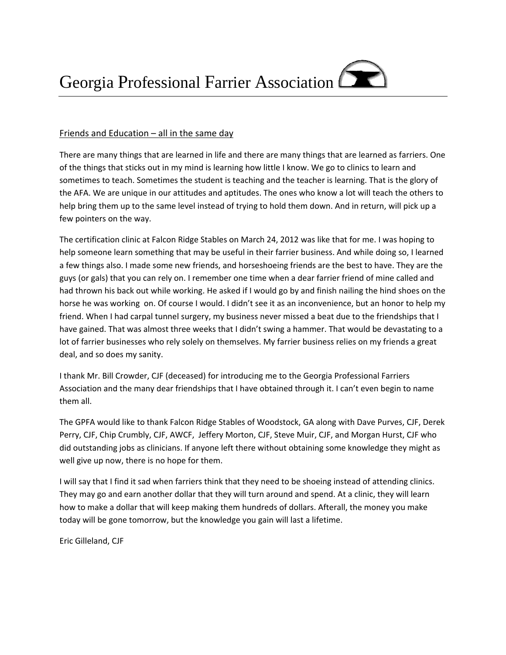## Friends and Education – all in the same day

There are many things that are learned in life and there are many things that are learned as farriers. One of the things that sticks out in my mind is learning how little I know. We go to clinics to learn and sometimes to teach. Sometimes the student is teaching and the teacher is learning. That is the glory of the AFA. We are unique in our attitudes and aptitudes. The ones who know a lot will teach the others to help bring them up to the same level instead of trying to hold them down. And in return, will pick up a few pointers on the way.

The certification clinic at Falcon Ridge Stables on March 24, 2012 was like that for me. I was hoping to help someone learn something that may be useful in their farrier business. And while doing so, I learned a few things also. I made some new friends, and horseshoeing friends are the best to have. They are the guys (or gals) that you can rely on. I remember one time when a dear farrier friend of mine called and had thrown his back out while working. He asked if I would go by and finish nailing the hind shoes on the horse he was working on. Of course I would. I didn't see it as an inconvenience, but an honor to help my friend. When I had carpal tunnel surgery, my business never missed a beat due to the friendships that I have gained. That was almost three weeks that I didn't swing a hammer. That would be devastating to a lot of farrier businesses who rely solely on themselves. My farrier business relies on my friends a great deal, and so does my sanity.

I thank Mr. Bill Crowder, CJF (deceased) for introducing me to the Georgia Professional Farriers Association and the many dear friendships that I have obtained through it. I can't even begin to name them all.

The GPFA would like to thank Falcon Ridge Stables of Woodstock, GA along with Dave Purves, CJF, Derek Perry, CJF, Chip Crumbly, CJF, AWCF, Jeffery Morton, CJF, Steve Muir, CJF, and Morgan Hurst, CJF who did outstanding jobs as clinicians. If anyone left there without obtaining some knowledge they might as well give up now, there is no hope for them.

I will say that I find it sad when farriers think that they need to be shoeing instead of attending clinics. They may go and earn another dollar that they will turn around and spend. At a clinic, they will learn how to make a dollar that will keep making them hundreds of dollars. Afterall, the money you make today will be gone tomorrow, but the knowledge you gain will last a lifetime.

Eric Gilleland, CJF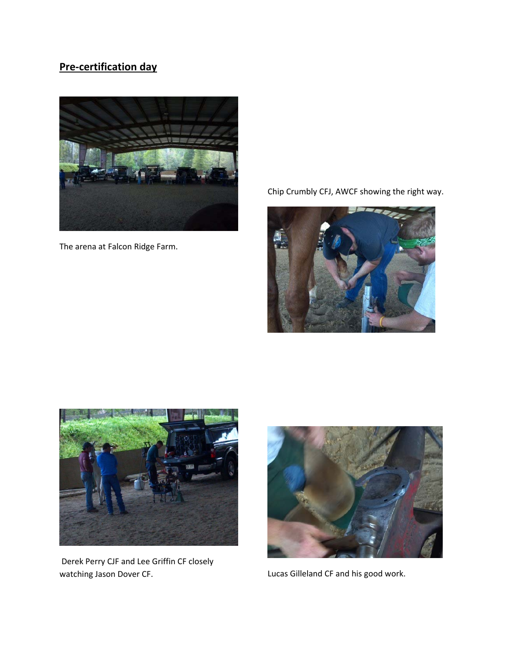# **Pre‐certification day**



The arena at Falcon Ridge Farm.

Chip Crumbly CFJ, AWCF showing the right way.





Derek Perry CJF and Lee Griffin CF closely watching Jason Dover CF.



Lucas Gilleland CF and his good work.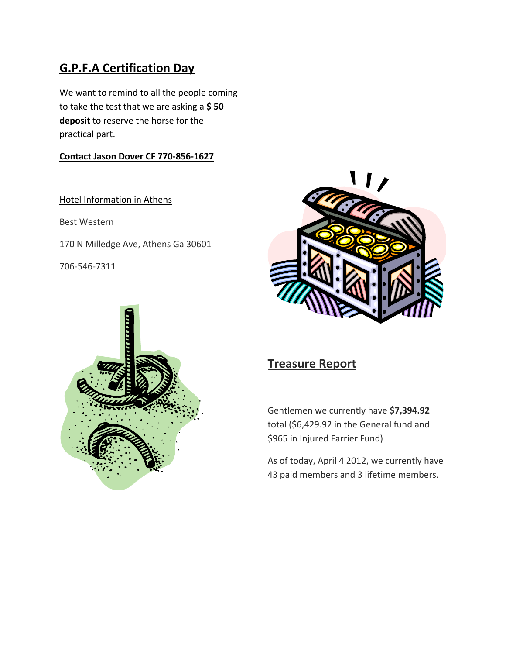# **G.P.F.A Certification Day**

We want to remind to all the people coming to take the test that we are asking a **\$ 50 deposit** to reserve the horse for the practical part.

## **Contact Jason Dover CF 770‐856‐1627**

Hotel Information in Athens

Best Western

170 N Milledge Ave, Athens Ga 30601

706‐546‐7311





## **Treasure Report**

Gentlemen we currently have **\$7,394.92** total (\$6,429.92 in the General fund and \$965 in Injured Farrier Fund)

As of today, April 4 2012, we currently have 43 paid members and 3 lifetime members.